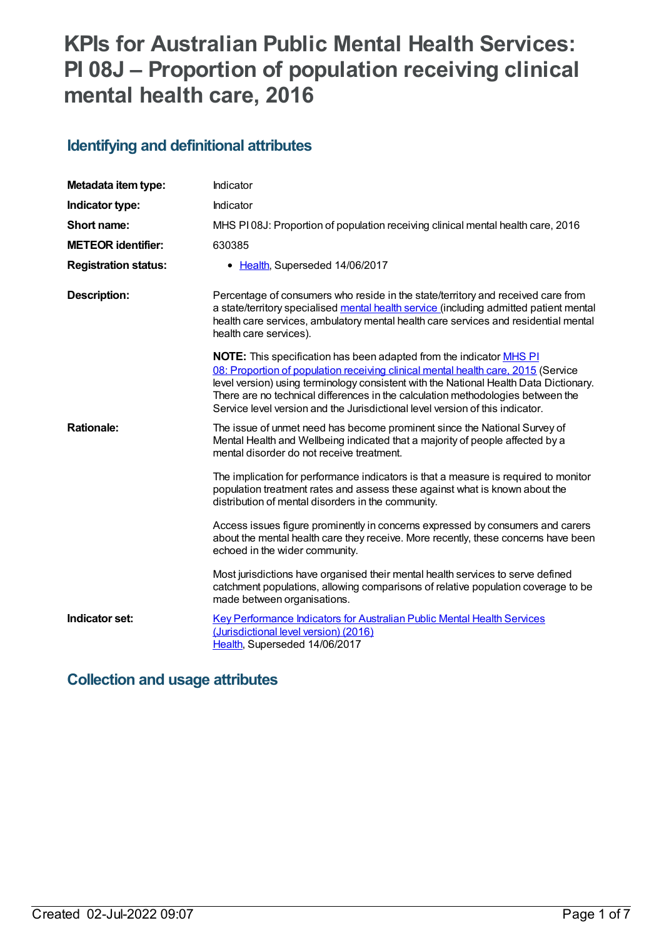# **KPIs for Australian Public Mental Health Services: PI 08J – Proportion of population receiving clinical mental health care, 2016**

## **Identifying and definitional attributes**

| Metadata item type:         | Indicator                                                                                                                                                                                                                                                                                                                                                                                                                           |
|-----------------------------|-------------------------------------------------------------------------------------------------------------------------------------------------------------------------------------------------------------------------------------------------------------------------------------------------------------------------------------------------------------------------------------------------------------------------------------|
| Indicator type:             | Indicator                                                                                                                                                                                                                                                                                                                                                                                                                           |
| Short name:                 | MHS PI08J: Proportion of population receiving clinical mental health care, 2016                                                                                                                                                                                                                                                                                                                                                     |
| <b>METEOR identifier:</b>   | 630385                                                                                                                                                                                                                                                                                                                                                                                                                              |
| <b>Registration status:</b> | • Health, Superseded 14/06/2017                                                                                                                                                                                                                                                                                                                                                                                                     |
| <b>Description:</b>         | Percentage of consumers who reside in the state/territory and received care from<br>a state/territory specialised mental health service (including admitted patient mental<br>health care services, ambulatory mental health care services and residential mental<br>health care services).                                                                                                                                         |
|                             | <b>NOTE:</b> This specification has been adapted from the indicator <b>MHS PI</b><br>08: Proportion of population receiving clinical mental health care, 2015 (Service<br>level version) using terminology consistent with the National Health Data Dictionary.<br>There are no technical differences in the calculation methodologies between the<br>Service level version and the Jurisdictional level version of this indicator. |
| <b>Rationale:</b>           | The issue of unmet need has become prominent since the National Survey of<br>Mental Health and Wellbeing indicated that a majority of people affected by a<br>mental disorder do not receive treatment.                                                                                                                                                                                                                             |
|                             | The implication for performance indicators is that a measure is required to monitor<br>population treatment rates and assess these against what is known about the<br>distribution of mental disorders in the community.                                                                                                                                                                                                            |
|                             | Access issues figure prominently in concerns expressed by consumers and carers<br>about the mental health care they receive. More recently, these concerns have been<br>echoed in the wider community.                                                                                                                                                                                                                              |
|                             | Most jurisdictions have organised their mental health services to serve defined<br>catchment populations, allowing comparisons of relative population coverage to be<br>made between organisations.                                                                                                                                                                                                                                 |
| Indicator set:              | Key Performance Indicators for Australian Public Mental Health Services<br>(Jurisdictional level version) (2016)<br>Health, Superseded 14/06/2017                                                                                                                                                                                                                                                                                   |

## **Collection and usage attributes**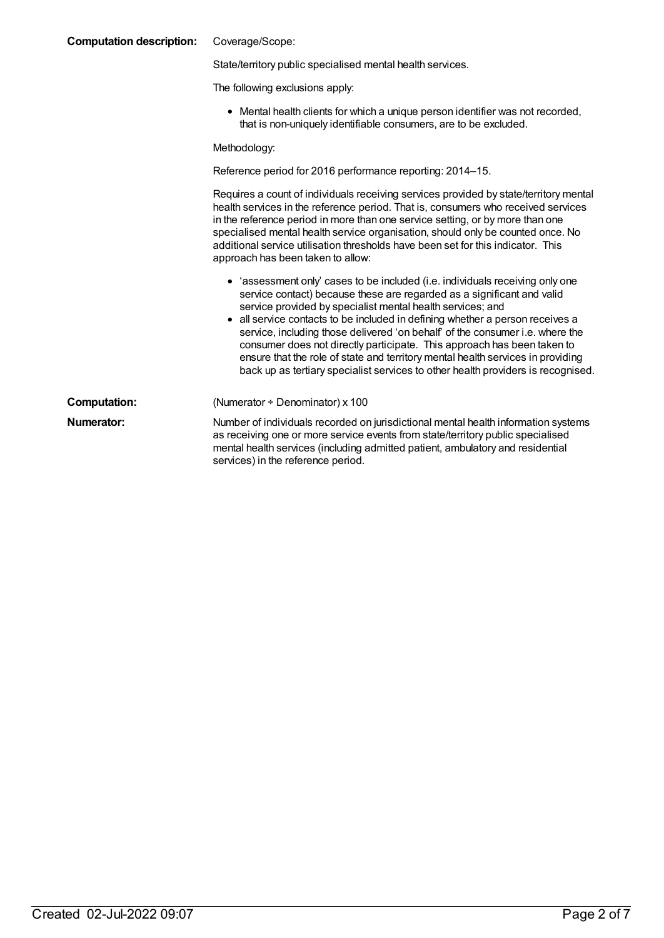| <b>Computation description:</b> | Coverage/Scope:                                                                                                                                                                                                                                                                                                                                                                                                                                                                                                                                                                                                                         |  |
|---------------------------------|-----------------------------------------------------------------------------------------------------------------------------------------------------------------------------------------------------------------------------------------------------------------------------------------------------------------------------------------------------------------------------------------------------------------------------------------------------------------------------------------------------------------------------------------------------------------------------------------------------------------------------------------|--|
|                                 | State/territory public specialised mental health services.                                                                                                                                                                                                                                                                                                                                                                                                                                                                                                                                                                              |  |
|                                 | The following exclusions apply:                                                                                                                                                                                                                                                                                                                                                                                                                                                                                                                                                                                                         |  |
|                                 | • Mental health clients for which a unique person identifier was not recorded,<br>that is non-uniquely identifiable consumers, are to be excluded.                                                                                                                                                                                                                                                                                                                                                                                                                                                                                      |  |
|                                 | Methodology:                                                                                                                                                                                                                                                                                                                                                                                                                                                                                                                                                                                                                            |  |
|                                 | Reference period for 2016 performance reporting: 2014-15.                                                                                                                                                                                                                                                                                                                                                                                                                                                                                                                                                                               |  |
|                                 | Requires a count of individuals receiving services provided by state/territory mental<br>health services in the reference period. That is, consumers who received services<br>in the reference period in more than one service setting, or by more than one<br>specialised mental health service organisation, should only be counted once. No<br>additional service utilisation thresholds have been set for this indicator. This<br>approach has been taken to allow:                                                                                                                                                                 |  |
|                                 | • 'assessment only' cases to be included (i.e. individuals receiving only one<br>service contact) because these are regarded as a significant and valid<br>service provided by specialist mental health services; and<br>all service contacts to be included in defining whether a person receives a<br>service, including those delivered 'on behalf' of the consumer i.e. where the<br>consumer does not directly participate. This approach has been taken to<br>ensure that the role of state and territory mental health services in providing<br>back up as tertiary specialist services to other health providers is recognised. |  |
| <b>Computation:</b>             | (Numerator + Denominator) x 100                                                                                                                                                                                                                                                                                                                                                                                                                                                                                                                                                                                                         |  |
| Numerator:                      | Number of individuals recorded on jurisdictional mental health information systems<br>as receiving one or more service events from state/territory public specialised<br>mental health services (including admitted patient, ambulatory and residential                                                                                                                                                                                                                                                                                                                                                                                 |  |

services) in the reference period.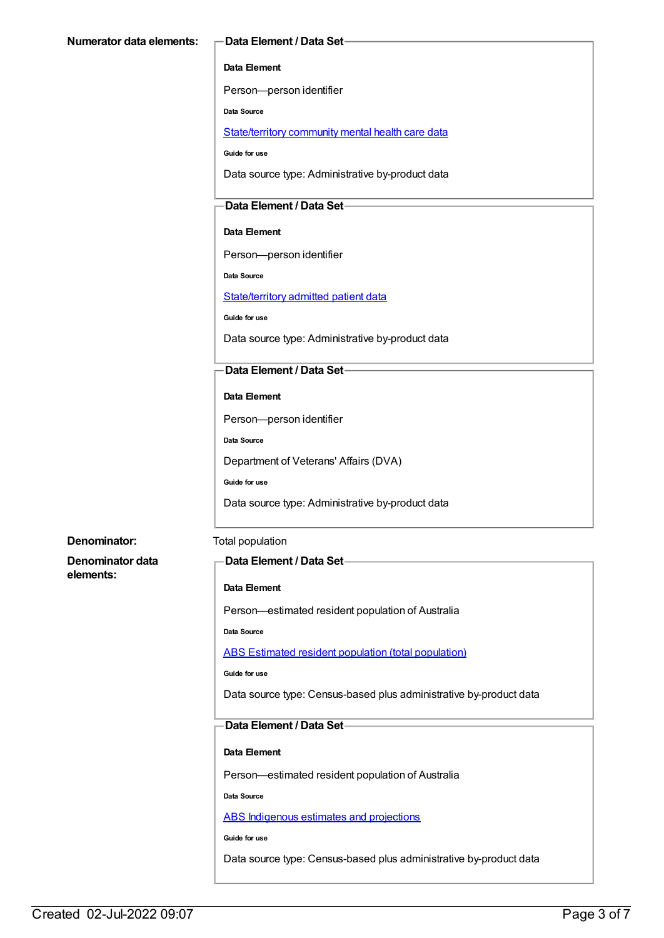#### **Data Element**

Person—person identifier

**Data Source**

[State/territory](file:///content/402135) community mental health care data

**Guide for use**

Data source type: Administrative by-product data

### **Data Element / Data Set**

**Data Element**

Person—person identifier

**Data Source**

[State/territory](file:///content/426458) admitted patient data

**Guide for use**

Data source type: Administrative by-product data

#### **Data Element / Data Set**

#### **Data Element**

Person—person identifier

**Data Source**

Department of Veterans' Affairs (DVA)

**Guide for use**

Data source type: Administrative by-product data

#### **Denominator:** Total population

**Denominator data elements:**

#### **Data Element / Data Set**

#### **Data Element**

Person—estimated resident population of Australia

**Data Source**

ABS Estimated resident population (total [population\)](file:///content/393625)

**Guide for use**

Data source type: Census-based plus administrative by-product data

#### **Data Element / Data Set**

#### **Data Element**

Person—estimated resident population of Australia

**Data Source**

ABS [Indigenous](file:///content/585472) estimates and projections

**Guide for use**

Data source type: Census-based plus administrative by-product data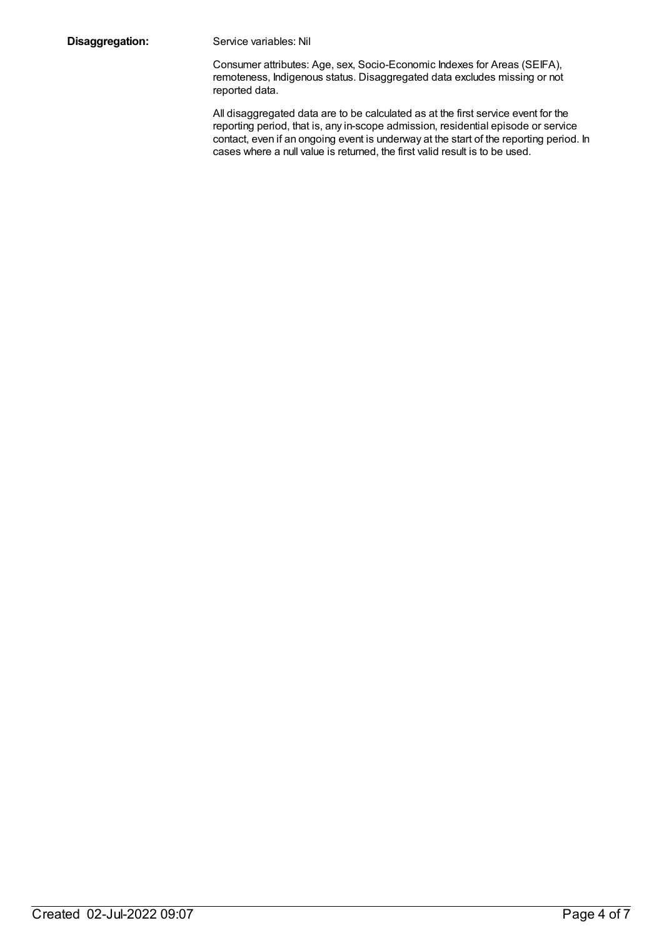**Disaggregation:** Service variables: Nil

Consumer attributes: Age, sex, Socio-Economic Indexes for Areas (SEIFA), remoteness, Indigenous status. Disaggregated data excludes missing or not reported data.

All disaggregated data are to be calculated as at the first service event for the reporting period, that is, any in-scope admission, residential episode or service contact, even if an ongoing event is underway at the start of the reporting period. In cases where a null value is returned, the first valid result is to be used.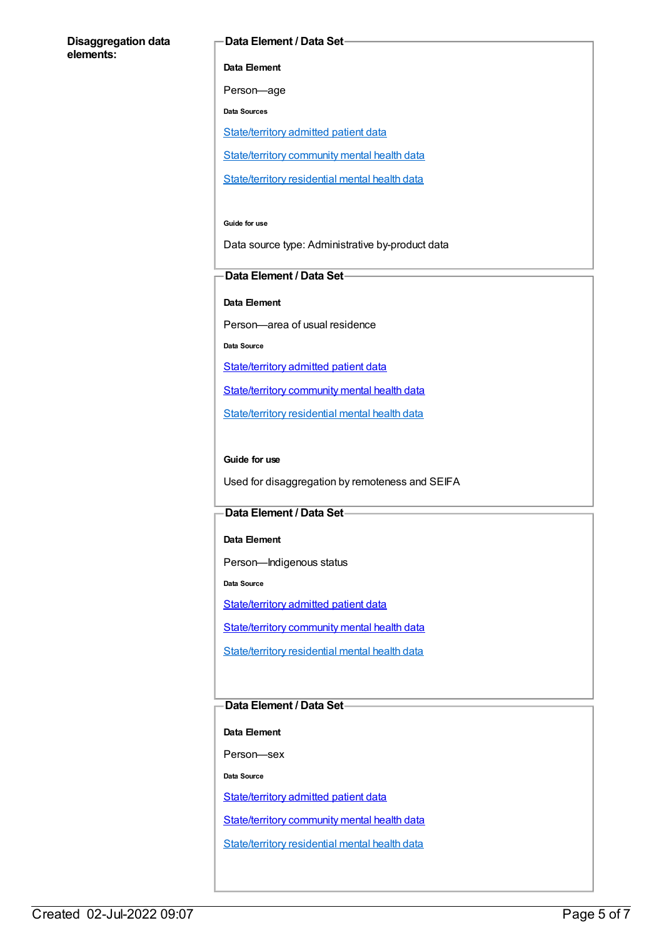#### **Disaggregation data elements:**

#### **Data Element / Data Set**

**Data Element**

Person—age

**Data Sources**

[State/territory](file:///content/426458) admitted patient data

[State/territory](file:///content/402135) community mental health data

[State/territory](file:///content/630460) residential mental health data

#### **Guide for use**

Data source type: Administrative by-product data

#### **Data Element / Data Set**

**Data Element**

Person—area of usual residence

**Data Source**

[State/territory](file:///content/426458) admitted patient data

[State/territory](file:///content/402135) community mental health data

[State/territory](file:///content/630460) residential mental health data

#### **Guide for use**

Used for disaggregation by remoteness and SEIFA

#### **Data Element / Data Set**

**Data Element**

Person—Indigenous status

**Data Source**

[State/territory](file:///content/426458) admitted patient data

[State/territory](file:///content/402135) community mental health data

[State/territory](file:///content/630460) residential mental health data

### **Data Element / Data Set**

**Data Element**

Person—sex

**Data Source**

[State/territory](file:///content/426458) admitted patient data

[State/territory](file:///content/402135) community mental health data

[State/territory](file:///content/630460) residential mental health data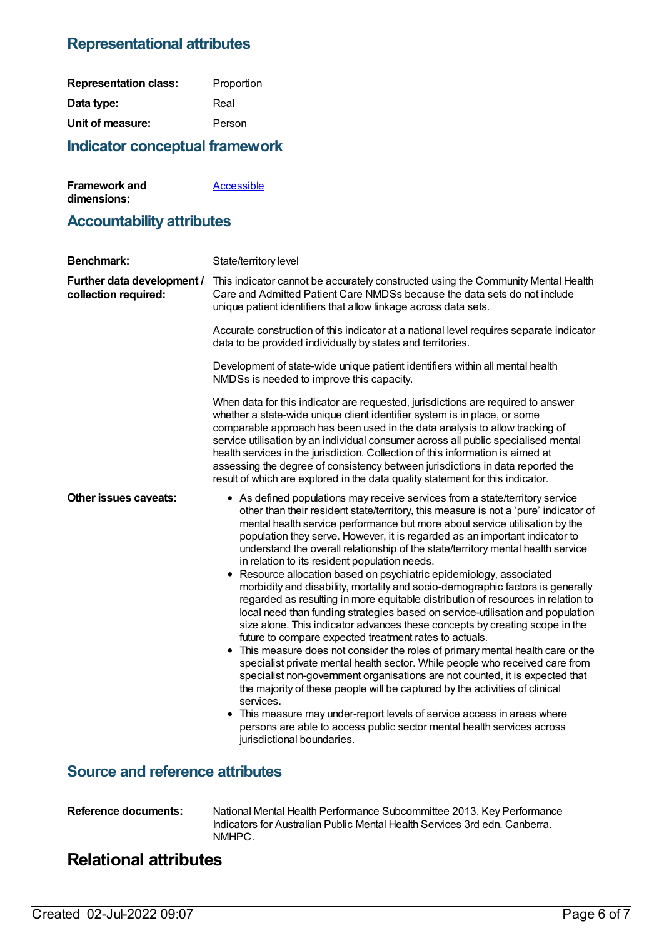## **Representational attributes**

| <b>Representation class:</b> | Proportion |
|------------------------------|------------|
| Data type:                   | Real       |
| Unit of measure:             | Person     |

## **Indicator conceptual framework**

| <b>Framework and</b> | Accessible |
|----------------------|------------|
| dimensions:          |            |

## **Accountability attributes**

| <b>Benchmark:</b>                                  | State/territory level                                                                                                                                                                                                                                                                                                                                                                                                                                                                                                                                                                                                                                                                                                                                                                                                                                                                                                                                                                                                                                                                                                                                                                                                                                                                                                                                                                                                                                                             |
|----------------------------------------------------|-----------------------------------------------------------------------------------------------------------------------------------------------------------------------------------------------------------------------------------------------------------------------------------------------------------------------------------------------------------------------------------------------------------------------------------------------------------------------------------------------------------------------------------------------------------------------------------------------------------------------------------------------------------------------------------------------------------------------------------------------------------------------------------------------------------------------------------------------------------------------------------------------------------------------------------------------------------------------------------------------------------------------------------------------------------------------------------------------------------------------------------------------------------------------------------------------------------------------------------------------------------------------------------------------------------------------------------------------------------------------------------------------------------------------------------------------------------------------------------|
| Further data development /<br>collection required: | This indicator cannot be accurately constructed using the Community Mental Health<br>Care and Admitted Patient Care NMDSs because the data sets do not include<br>unique patient identifiers that allow linkage across data sets.                                                                                                                                                                                                                                                                                                                                                                                                                                                                                                                                                                                                                                                                                                                                                                                                                                                                                                                                                                                                                                                                                                                                                                                                                                                 |
|                                                    | Accurate construction of this indicator at a national level requires separate indicator<br>data to be provided individually by states and territories.                                                                                                                                                                                                                                                                                                                                                                                                                                                                                                                                                                                                                                                                                                                                                                                                                                                                                                                                                                                                                                                                                                                                                                                                                                                                                                                            |
|                                                    | Development of state-wide unique patient identifiers within all mental health<br>NMDSs is needed to improve this capacity.                                                                                                                                                                                                                                                                                                                                                                                                                                                                                                                                                                                                                                                                                                                                                                                                                                                                                                                                                                                                                                                                                                                                                                                                                                                                                                                                                        |
|                                                    | When data for this indicator are requested, jurisdictions are required to answer<br>whether a state-wide unique client identifier system is in place, or some<br>comparable approach has been used in the data analysis to allow tracking of<br>service utilisation by an individual consumer across all public specialised mental<br>health services in the jurisdiction. Collection of this information is aimed at<br>assessing the degree of consistency between jurisdictions in data reported the<br>result of which are explored in the data quality statement for this indicator.                                                                                                                                                                                                                                                                                                                                                                                                                                                                                                                                                                                                                                                                                                                                                                                                                                                                                         |
| <b>Other issues caveats:</b>                       | • As defined populations may receive services from a state/territory service<br>other than their resident state/territory, this measure is not a 'pure' indicator of<br>mental health service performance but more about service utilisation by the<br>population they serve. However, it is regarded as an important indicator to<br>understand the overall relationship of the state/territory mental health service<br>in relation to its resident population needs.<br>• Resource allocation based on psychiatric epidemiology, associated<br>morbidity and disability, mortality and socio-demographic factors is generally<br>regarded as resulting in more equitable distribution of resources in relation to<br>local need than funding strategies based on service-utilisation and population<br>size alone. This indicator advances these concepts by creating scope in the<br>future to compare expected treatment rates to actuals.<br>• This measure does not consider the roles of primary mental health care or the<br>specialist private mental health sector. While people who received care from<br>specialist non-government organisations are not counted, it is expected that<br>the majority of these people will be captured by the activities of clinical<br>services.<br>• This measure may under-report levels of service access in areas where<br>persons are able to access public sector mental health services across<br>jurisdictional boundaries. |
| <b>Source and reference attributes</b>             |                                                                                                                                                                                                                                                                                                                                                                                                                                                                                                                                                                                                                                                                                                                                                                                                                                                                                                                                                                                                                                                                                                                                                                                                                                                                                                                                                                                                                                                                                   |

**Reference documents:** National Mental Health Performance Subcommittee 2013. Key Performance Indicators for Australian Public Mental Health Services 3rd edn. Canberra. NMHPC.

## **Relational attributes**